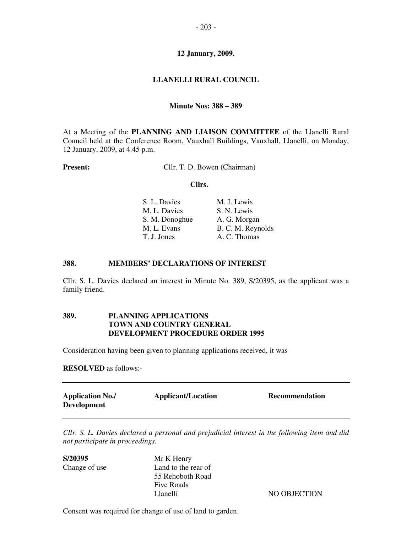# **LLANELLI RURAL COUNCIL**

### **Minute Nos: 388 – 389**

At a Meeting of the **PLANNING AND LIAISON COMMITTEE** of the Llanelli Rural Council held at the Conference Room, Vauxhall Buildings, Vauxhall, Llanelli, on Monday, 12 January, 2009, at 4.45 p.m.

**Present:** Cllr. T. D. Bowen (Chairman)

#### **Cllrs.**

| S. L. Davies   | M. J. Lewis       |
|----------------|-------------------|
| M. L. Davies   | S. N. Lewis       |
| S. M. Donoghue | A. G. Morgan      |
| M. L. Evans    | B. C. M. Reynolds |
| T. J. Jones    | A. C. Thomas      |

#### **388. MEMBERS' DECLARATIONS OF INTEREST**

Cllr. S. L. Davies declared an interest in Minute No. 389, S/20395, as the applicant was a family friend.

# **389. PLANNING APPLICATIONS TOWN AND COUNTRY GENERAL DEVELOPMENT PROCEDURE ORDER 1995**

Consideration having been given to planning applications received, it was

**RESOLVED** as follows:-

| <b>Application No./</b><br><b>Development</b> | <b>Applicant/Location</b> | Recommendation |
|-----------------------------------------------|---------------------------|----------------|
|                                               |                           |                |

*Cllr. S. L. Davies declared a personal and prejudicial interest in the following item and did not participate in proceedings.* 

**S/20395** Mr K Henry

Change of use Land to the rear of 55 Rehoboth Road Five Roads Llanelli NO OBJECTION

Consent was required for change of use of land to garden.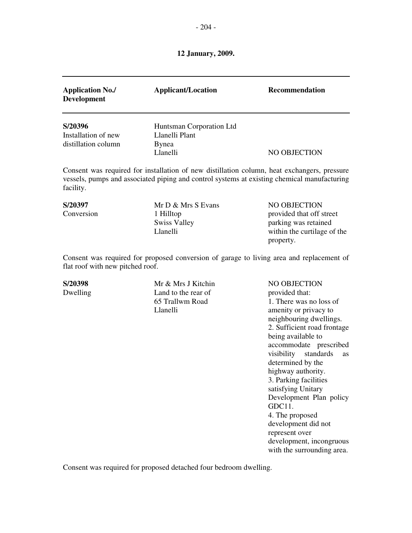| <b>Application No./</b><br><b>Development</b>         | <b>Applicant/Location</b>                                       | <b>Recommendation</b>                                                                                                                                                                      |
|-------------------------------------------------------|-----------------------------------------------------------------|--------------------------------------------------------------------------------------------------------------------------------------------------------------------------------------------|
| S/20396<br>Installation of new<br>distillation column | Huntsman Corporation Ltd<br>Llanelli Plant<br>Bynea<br>Llanelli | NO OBJECTION                                                                                                                                                                               |
| facility.                                             |                                                                 | Consent was required for installation of new distillation column, heat exchangers, pressure<br>vessels, pumps and associated piping and control systems at existing chemical manufacturing |

**S/20397** Mr D & Mrs S Evans NO OBJECTION Conversion 1 Hilltop provided that off street Swiss Valley parking was retained Llanelli within the curtilage of the property.

Consent was required for proposed conversion of garage to living area and replacement of flat roof with new pitched roof.

Dwelling Land to the rear of provided that:

**S/20398** Mr & Mrs J Kitchin NO OBJECTION 65 Trallwm Road 1. There was no loss of Llanelli amenity or privacy to neighbouring dwellings. 2. Sufficient road frontage being available to accommodate prescribed visibility standards as determined by the highway authority. 3. Parking facilities satisfying Unitary Development Plan policy GDC11. 4. The proposed development did not represent over development, incongruous with the surrounding area.

Consent was required for proposed detached four bedroom dwelling.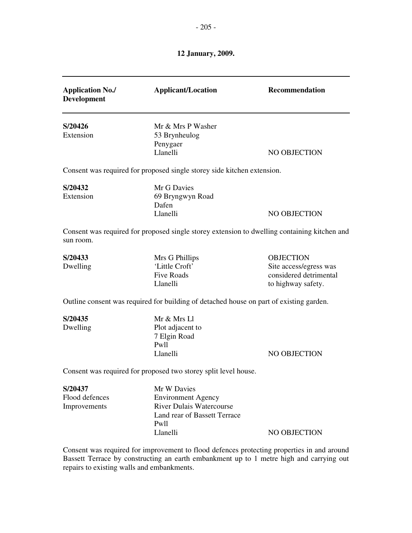| <b>Application No./</b><br><b>Development</b> | <b>Applicant/Location</b>                                                                    | Recommendation         |
|-----------------------------------------------|----------------------------------------------------------------------------------------------|------------------------|
| S/20426                                       | Mr & Mrs P Washer                                                                            |                        |
| Extension                                     | 53 Brynheulog                                                                                |                        |
|                                               | Penygaer                                                                                     |                        |
|                                               | Llanelli                                                                                     | NO OBJECTION           |
|                                               | Consent was required for proposed single storey side kitchen extension.                      |                        |
| S/20432                                       | Mr G Davies                                                                                  |                        |
| Extension                                     | 69 Bryngwyn Road                                                                             |                        |
|                                               | Dafen                                                                                        |                        |
|                                               | Llanelli                                                                                     | NO OBJECTION           |
| sun room.                                     | Consent was required for proposed single storey extension to dwelling containing kitchen and |                        |
| S/20433                                       | Mrs G Phillips                                                                               | <b>OBJECTION</b>       |
| Dwelling                                      | 'Little Croft'                                                                               | Site access/egress was |
|                                               | <b>Five Roads</b>                                                                            | considered detrimental |
|                                               | Llanelli                                                                                     | to highway safety.     |
|                                               | Outline consent was required for building of detached house on part of existing garden.      |                        |
| S/20435                                       | Mr & Mrs Ll                                                                                  |                        |
| Dwelling                                      | Plot adjacent to                                                                             |                        |
|                                               | 7 Elgin Road                                                                                 |                        |
|                                               | Pwll                                                                                         |                        |
|                                               | Llanelli                                                                                     | NO OBJECTION           |
|                                               | Consent was required for proposed two storey split level house.                              |                        |
| S/20437                                       | Mr W Davies                                                                                  |                        |
| Flood defences                                | <b>Environment Agency</b>                                                                    |                        |
| Improvements                                  | <b>River Dulais Watercourse</b>                                                              |                        |
|                                               | Land rear of Bassett Terrace                                                                 |                        |
|                                               | Pwll                                                                                         |                        |
|                                               | Llanelli                                                                                     | NO OBJECTION           |

Bassett Terrace by constructing an earth embankment up to 1 metre high and carrying out repairs to existing walls and embankments.